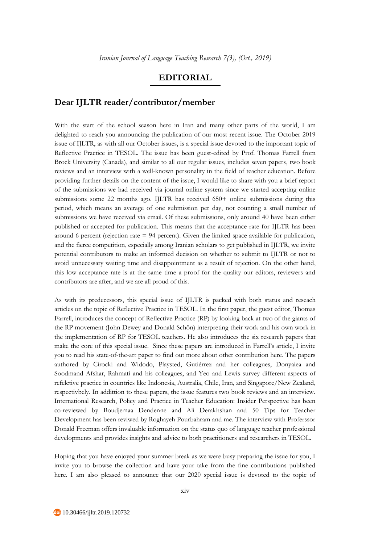## **EDITORIAL**

## **Dear IJLTR reader/contributor/member**

With the start of the school season here in Iran and many other parts of the world, I am delighted to reach you announcing the publication of our most recent issue. The October 2019 issue of IJLTR, as with all our October issues, is a special issue devoted to the important topic of Reflective Practice in TESOL. The issue has been guest-edited by Prof. Thomas Farrell from Brock University (Canada), and similar to all our regular issues, includes seven papers, two book reviews and an interview with a well-known personality in the field of teacher education. Before providing further details on the content of the issue, I would like to share with you a brief report of the submissions we had received via journal online system since we started accepting online submissions some 22 months ago. IJLTR has received 650+ online submissions during this period, which means an average of one submission per day, not counting a small number of submissions we have received via email. Of these submissions, only around 40 have been either published or accepted for publication. This means that the acceptance rate for IJLTR has been around 6 percent (rejection rate = 94 percent). Given the limited space available for publication, and the fierce competition, especially among Iranian scholars to get published in IJLTR, we invite potential contributors to make an informed decision on whether to submit to IJLTR or not to avoid unnecessary waiting time and disappointment as a result of rejection. On the other hand, this low acceptance rate is at the same time a proof for the quality our editors, reviewers and contributors are after, and we are all proud of this.

As with its predecessors, this special issue of IJLTR is packed with both status and reseach articles on the topic of Reflective Practice in TESOL. In the first paper, the guest editor, Thomas Farrell, introduces the concept of Reflective Practice (RP) by looking back at two of the giants of the RP movement (John Dewey and Donald Schön) interpreting their work and his own work in the implementation of RP for TESOL teachers. He also introduces the six research papers that make the core of this special issue. Since these papers are introduced in Farrell's article, I invite you to read his state-of-the-art paper to find out more about other contribution here. The papers authored by Cirocki and Widodo, Playsted, Gutiérrez and her colleagues, Donyaiea and Soodmand Afshar, Rahmati and his colleagues, and Yeo and Lewis survey different aspects of refelctive practice in countries like Indonesia, Australia, Chile, Iran, and Singapore/New Zealand, respectivbely. In addittion to these papers, the issue features two book reviews and an interview. International Research, Policy and Practice in Teacher Education: Insider Perspective has been co-reviewed by Boudjemaa Dendenne and Ali Derakhshan and 50 Tips for Teacher Development has been reviwed by Roghayeh Pourbahram and me. The interview with Proferssor Donald Freeman offers invaluable information on the status quo of language teacher professional developments and provides insights and advice to both practitioners and researchers in TESOL.

Hoping that you have enjoyed your summer break as we were busy preparing the issue for you, I invite you to browse the collection and have your take from the fine contributions published here. I am also pleased to announce that our 2020 special issue is devoted to the topic of